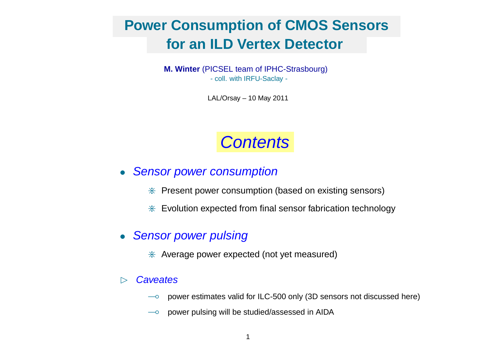# **Power Consumption of CMOS Sensors for an ILD Vertex Detector**

**M. Winter** (PICSEL team of IPHC-Strasbourg) - coll. with IRFU-Saclay -

LAL/Orsay – 10 May 2011

# **Contents**

## • Sensor power consumption

- $*$  Present power consumption (based on existing sensors)
- \* Evolution expected from final sensor fabrication technology

### • Sensor power pulsing

 $*$  Average power expected (not yet measured)

### $\triangleright$  Caveates

- $\sim$  power estimates valid for ILC-500 only (3D sensors not discussed here)
- $\sim$  power pulsing will be studied/assessed in AIDA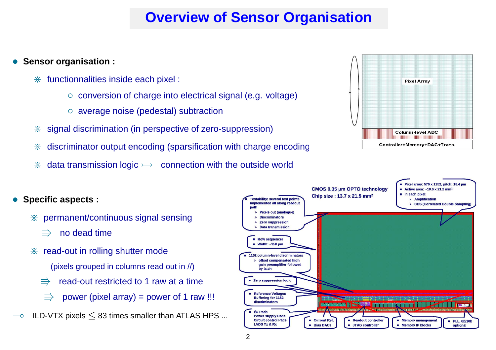# **Overview of Sensor Organisation**

### • **Sensor organisation :**

- $*$  functionnalities inside each pixel :
	- conversion of charge into electrical signal (e.g. voltage)
	- average noise (pedestal) subtraction
- $*$  signal discrimination (in perspective of zero-suppression)
- discriminator output encoding (sparsification with charge encoding
- $*$  data transmission logic  $\rightarrow$  connection with the outside world



### • **Specific aspects :**

- $*$  permanent/continuous signal sensing
	- $\implies$  no dead time
- $*$  read-out in rolling shutter mode
	- (pixels grouped in columns read out in //)
	- $\Rightarrow$  read-out restricted to 1 raw at a time
	- power (pixel array) = power of 1 raw !!!
- $\sim$  ILD-VTX pixels  $\leq$  83 times smaller than ATLAS HPS ...

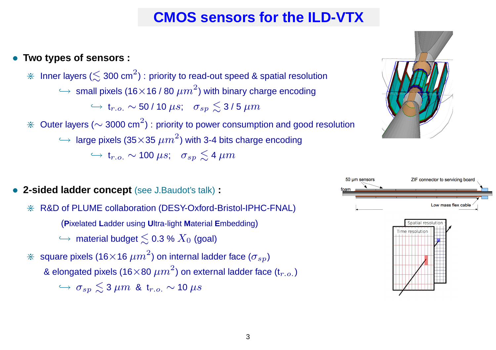# **CMOS sensors for the ILD-VTX**

## • **Two types of sensors :**

 $*$  Inner layers ( $\lesssim$  300 cm $^2$ ) : priority to read-out speed & spatial resolution  $\hookrightarrow \,$  small pixels (16 $\times$ 16 / 80  $\mu m^{2})$  with binary charge encoding  $\hookrightarrow$  t $_{r.o.}$   $\sim$  50 / 10  $\mu s;$   $\sigma_{sp} \lesssim$  3 / 5  $\mu m$  $\divideontimes$  Outer layers ( $\sim$  3000 cm<sup>2</sup>) : priority to power consumption and good resolution  $\hookrightarrow$  large pixels (35 $\times$ 35  $\mu m^2$ ) with 3-4 bits charge encoding  $\hookrightarrow$  t<sub>r.o.</sub>  $\sim$  100  $\mu s$ ;  $\sigma_{sp} \lesssim$  4  $\mu m$ 

- **2-sided ladder concept** (see J.Baudot's talk) **:**
	- \* R&D of PLUME collaboration (DESY-Oxford-Bristol-IPHC-FNAL)

(**P**ixelated **L**adder using **U**ltra-light **M**aterial **<sup>E</sup>**mbedding)

 $\hookrightarrow$  material budget  $\lesssim$  0.3 %  $X_0$  (goal)

 $\divideontimes$  square pixels (16 $\times$ 16  $\mu m^2$ ) on internal ladder face ( $\sigma_{sp}$ )

& elongated pixels (16 $\times$ 80  $\mu m^2$ ) on external ladder face (t $_{r.o.}$  )

 $\hookrightarrow$   $\sigma_{sp} \lesssim$  3  $\mu m$  & t<sub>r.o.</sub>  $\sim$  10  $\mu s$ 





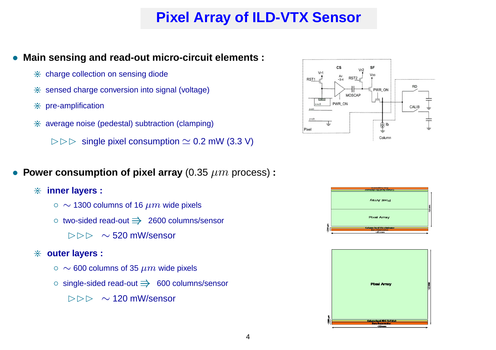# **Pixel Array of ILD-VTX Sensor**

- **Main sensing and read-out micro-circuit elements :**
	- $*$  charge collection on sensing diode
	- $*$  sensed charge conversion into signal (voltage)
	- $*$  pre-amplification
	- $*$  average noise (pedestal) subtraction (clamping)
		- $\triangleright \triangleright \triangleright$  single pixel consumption  $\simeq$  0.2 mW (3.3 V)
- **Power consumption of pixel array** (0.35  $\mu m$  process) :
	- $*$  **inner** layers :
		- $\sim$  1300 columns of 16  $\mu m$  wide pixels
		- $\circ$  two-sided read-out  $\Rightarrow$  2600 columns/sensor
			- $\triangleright \triangleright \triangleright \sim 520$  mW/sensor

#### $*$  outer layers :

- $\sim$  600 columns of 35  $\mu m$  wide pixels
- single-sided read-out ⇒ 600 columns/sensor
	- $\triangleright \triangleright \triangleright$  ~ 120 mW/sensor





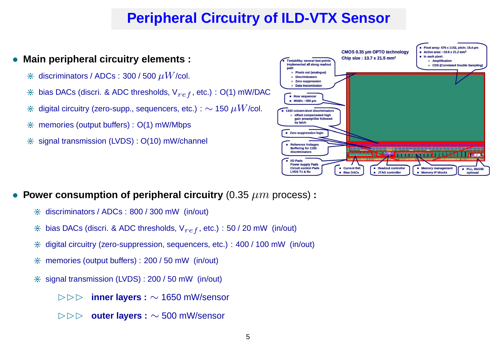# **Peripheral Circuitry of ILD-VTX Sensor**

### • **Main peripheral circuitry elements :**

- $*$  discriminators / ADCs : 300 / 500  $\mu$ W/col.
- $*$  bias DACs (discri. & ADC thresholds,  $V_{ref}$ , etc.) : O(1) mW/DAC
- $*$  digital circuitry (zero-supp., sequencers, etc.) :  $\sim$  150  $\mu W$ /col.
- $*$  memories (output buffers) :  $O(1)$  mW/Mbps
- $*$  signal transmission (LVDS) :  $O(10)$  mW/channel



- **Power consumption of peripheral circuitry** (0.35  $\mu m$  process) **:** 
	- $*$  discriminators / ADCs : 800 / 300 mW (in/out)
	- $*$  bias DACs (discri. & ADC thresholds,  $V_{ref}$ , etc.) : 50 / 20 mW (in/out)
	- $*$  digital circuitry (zero-suppression, sequencers, etc.) : 400 / 100 mW (in/out)
	- $*$  memories (output buffers) : 200 / 50 mW (in/out)
	- $*$  signal transmission (LVDS) : 200 / 50 mW (in/out)
		- BBB **inner layers :** <sup>∼</sup> 1650 mW/sensor
		- BBB **outer layers :** <sup>∼</sup> 500 mW/sensor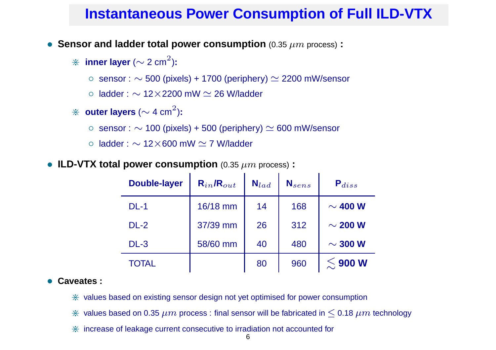## **Instantaneous Power Consumption of Full ILD-VTX**

• **Sensor and ladder total power consumption** (0.35 µm process) **:**

 $*$  **inner layer** ( $\sim$  2 cm $^2$ ):

○ sensor :  $\sim$  500 (pixels) + 1700 (periphery)  $\simeq$  2200 mW/sensor

○ ladder :  $\sim$  12×2200 mW  $\simeq$  26 W/ladder

- $\divideontimes$  outer layers ( $\sim$  4 cm $^2$ ):
	- sensor :  $\sim$  100 (pixels) + 500 (periphery)  $\simeq$  600 mW/sensor
	- ladder :  $\sim$  12 $\times$ 600 mW  $\simeq$  7 W/ladder
- **ILD-VTX total power consumption** (0.35  $\mu$ m process) **:**

| <b>Double-layer</b> | $\mathsf{R}_{in}$ / $\mathsf{R}_{out}$ | $N_{lad}$ | $N_{sens}$ | ${\sf P}_{diss}$ |
|---------------------|----------------------------------------|-----------|------------|------------------|
| $DL-1$              | 16/18 mm                               | 14        | 168        | $\sim$ 400 W     |
| $DL-2$              | 37/39 mm                               | 26        | 312        | $\sim$ 200 W     |
| $DL-3$              | 58/60 mm                               | 40        | 480        | $\sim$ 300 W     |
| <b>TOTAL</b>        |                                        | 80        | 960        | $\lesssim$ 900 W |

#### • **Caveates :**

- $*$  values based on existing sensor design not yet optimised for power consumption
- $\hat{\ast}$  values based on 0.35  $\mu m$  process : final sensor will be fabricated in  $\leq$  0.18  $\mu m$  technology
- $*$  increase of leakage current consecutive to irradiation not accounted for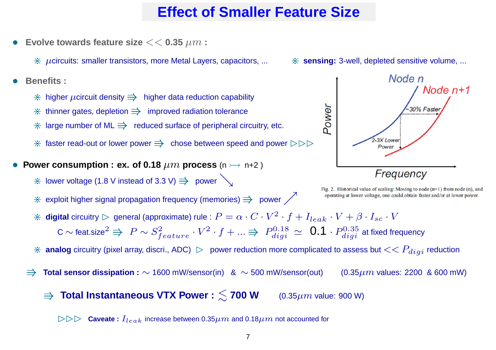## **Effect of Smaller Feature Size**

**Evolve towards feature size**  $<<$  0.35  $\mu$ m :

 $*$   $\mu$ circuits: smaller transistors, more Metal Layers, capacitors, ...

- **Benefits :**
	- $*$  higher  $\mu$ circuit density  $\Rightarrow$  higher data reduction capability
	- $*$  thinner gates, depletion  $\Rightarrow$  improved radiation tolerance
	- $*$  large number of ML  $\Rightarrow$  reduced surface of peripheral circuitry, etc.
	- $*$  faster read-out or lower power  $\Rightarrow$  chose between speed and power  $\triangleright\triangleright\triangleright$
- $\bullet$  Power consumption : ex. of 0.18  $\mu m$  process (n  $\rightarrow$  n+2 )
	- $*$  lower voltage (1.8 V instead of 3.3 V)  $\Rightarrow$  power  $\searrow$
	- $*$  exploit higher signal propagation frequency (memories)  $\Rightarrow$  power  $\nearrow$



Fig. 2. Historical value of scaling: Moving to node  $(n=1)$  from node (n), and operating at lower voltage, one could obtain faster and/or at lower power.

- $*$  **digital** circuitry  $\rhd$  general (approximate) rule :  $P=\alpha\cdot C\cdot V^2\cdot f+I_{leak}\cdot V+\beta\cdot I_{sc}\cdot V$ C  $\sim$  feat.size $^2 \Rrightarrow P \sim S^2_{\ell}$  $f_{feature} \cdot V^2 \cdot f + ... \Rightarrow P_{digit}^{0.18}$  $\frac{d i g i}{d i g i} \simeq ~\mathbf{0.1} \cdot P_{d i g i}^{0.35}$  at fixed frequency
- $*$  analog circuitry (pixel array, discri., ADC)  $\,\vartriangleright\,$  power reduction more complicated to assess but  $<< P_{digi}$  reduction
- <sup>V</sup> **Total sensor dissipation :** <sup>∼</sup> <sup>1600</sup> mW/sensor(in) &  $(0.35 \mu m$  values: 2200 & 600 mW)
	- $\Rightarrow$  **Total Instantaneous VTX Power** :  $\leq$  700 W  $(0.35 \mu m$  value: 900 W)

 $\triangleright \triangleright \triangleright \quad$  Caveate  $:\bar{I}_{leak}$  increase between 0.35 $\mu m$  and 0.18 $\mu m$  not accounted for

\* **sensing:** 3-well, depleted sensitive volume, ...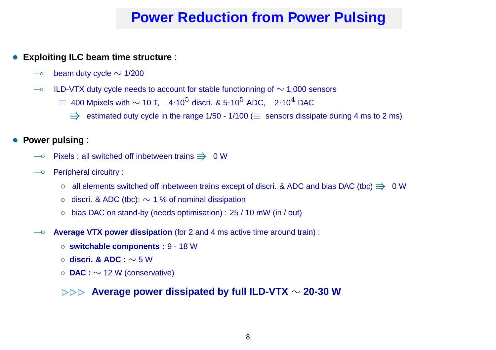# **Power Reduction from Power Pulsing**

### • **Exploiting ILC beam time structure** :

- $\sim$  beam duty cycle  $\sim$  1/200
- $\rightarrow$  ILD-VTX duty cycle needs to account for stable functionning of  $\sim$  1,000 sensors
	- $\equiv \,$  400 Mpixels with  $\sim$  10 T,  $\,$  4 $\cdot$ 10 $^{5}$  discri. & 5 $\cdot$ 10 $^{5}$  ADC,  $\,$  2 $\cdot$ 10 $^{4}$  DAC
		- $\Rightarrow$  estimated duty cycle in the range 1/50 1/100 ( $\equiv$  sensors dissipate during 4 ms to 2 ms)

#### **Power pulsing:**

- $\overline{\phantom{a}}$  Pixels : all switched off inbetween trains  $\Rightarrow$  0 W
- $\overline{\phantom{a}}$  Peripheral circuitry :
	- o all elements switched off inbetween trains except of discri. & ADC and bias DAC (tbc)  $\Rightarrow$  0 W
	- discri. & ADC (tbc): <sup>∼</sup> <sup>1</sup> % of nominal dissipation
	- bias DAC on stand-by (needs optimisation) : 25 / 10 mW (in / out)
- ( **Average VTX power dissipation** (for <sup>2</sup> and <sup>4</sup> ms active time around train) :
	- **switchable components :** <sup>9</sup> <sup>18</sup> <sup>W</sup>
	- **discri. & ADC :** <sup>∼</sup> <sup>5</sup> W
	- **DAC :** <sup>∼</sup> <sup>12</sup> <sup>W</sup> (conservative)

### BBB **Average power dissipated by full ILD-VTX** <sup>∼</sup> **20-30 W**